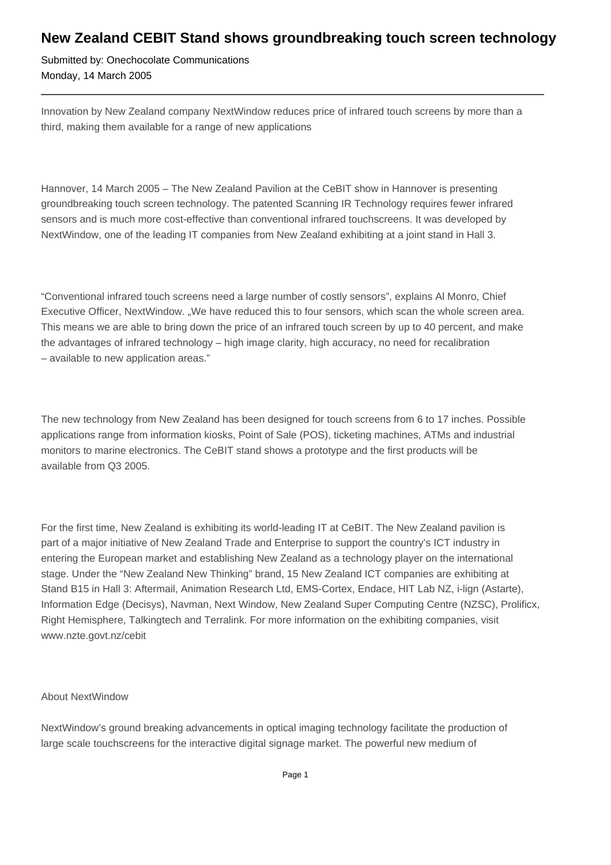## **New Zealand CEBIT Stand shows groundbreaking touch screen technology**

Submitted by: Onechocolate Communications Monday, 14 March 2005

Innovation by New Zealand company NextWindow reduces price of infrared touch screens by more than a third, making them available for a range of new applications

Hannover, 14 March 2005 – The New Zealand Pavilion at the CeBIT show in Hannover is presenting groundbreaking touch screen technology. The patented Scanning IR Technology requires fewer infrared sensors and is much more cost-effective than conventional infrared touchscreens. It was developed by NextWindow, one of the leading IT companies from New Zealand exhibiting at a joint stand in Hall 3.

"Conventional infrared touch screens need a large number of costly sensors", explains Al Monro, Chief Executive Officer, NextWindow. "We have reduced this to four sensors, which scan the whole screen area. This means we are able to bring down the price of an infrared touch screen by up to 40 percent, and make the advantages of infrared technology – high image clarity, high accuracy, no need for recalibration – available to new application areas."

The new technology from New Zealand has been designed for touch screens from 6 to 17 inches. Possible applications range from information kiosks, Point of Sale (POS), ticketing machines, ATMs and industrial monitors to marine electronics. The CeBIT stand shows a prototype and the first products will be available from Q3 2005.

For the first time, New Zealand is exhibiting its world-leading IT at CeBIT. The New Zealand pavilion is part of a major initiative of New Zealand Trade and Enterprise to support the country's ICT industry in entering the European market and establishing New Zealand as a technology player on the international stage. Under the "New Zealand New Thinking" brand, 15 New Zealand ICT companies are exhibiting at Stand B15 in Hall 3: Aftermail, Animation Research Ltd, EMS-Cortex, Endace, HIT Lab NZ, i-lign (Astarte), Information Edge (Decisys), Navman, Next Window, New Zealand Super Computing Centre (NZSC), Prolificx, Right Hemisphere, Talkingtech and Terralink. For more information on the exhibiting companies, visit www.nzte.govt.nz/cebit

## About NextWindow

NextWindow's ground breaking advancements in optical imaging technology facilitate the production of large scale touchscreens for the interactive digital signage market. The powerful new medium of